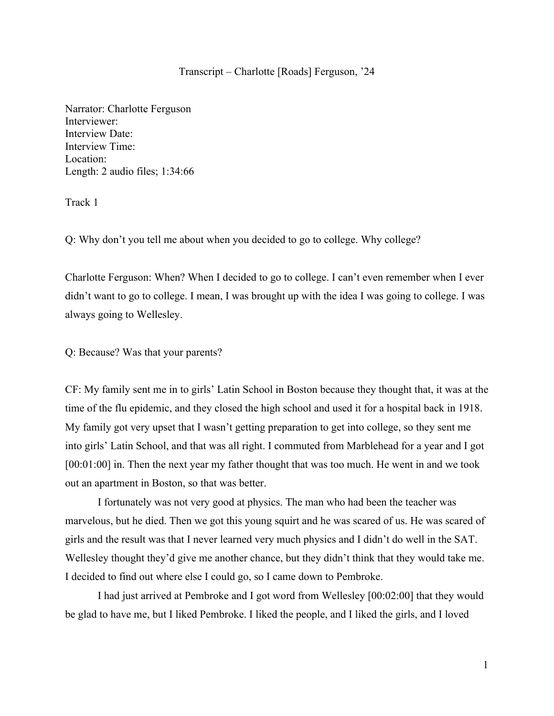### Transcript – Charlotte [Roads] Ferguson, '24

Narrator: Charlotte Ferguson Interviewer: Interview Date: Interview Time: Location: Length: 2 audio files; 1:34:66

Track 1

Q: Why don't you tell me about when you decided to go to college. Why college?

Charlotte Ferguson: When? When I decided to go to college. I can't even remember when I ever didn't want to go to college. I mean, I was brought up with the idea I was going to college. I was always going to Wellesley.

Q: Because? Was that your parents?

CF: My family sent me in to girls' Latin School in Boston because they thought that, it was at the time of the flu epidemic, and they closed the high school and used it for a hospital back in 1918. My family got very upset that I wasn't getting preparation to get into college, so they sent me into girls' Latin School, and that was all right. I commuted from Marblehead for a year and I got [00:01:00] in. Then the next year my father thought that was too much. He went in and we took out an apartment in Boston, so that was better.

I fortunately was not very good at physics. The man who had been the teacher was marvelous, but he died. Then we got this young squirt and he was scared of us. He was scared of girls and the result was that I never learned very much physics and I didn't do well in the SAT. Wellesley thought they'd give me another chance, but they didn't think that they would take me. I decided to find out where else I could go, so I came down to Pembroke.

I had just arrived at Pembroke and I got word from Wellesley [00:02:00] that they would be glad to have me, but I liked Pembroke. I liked the people, and I liked the girls, and I loved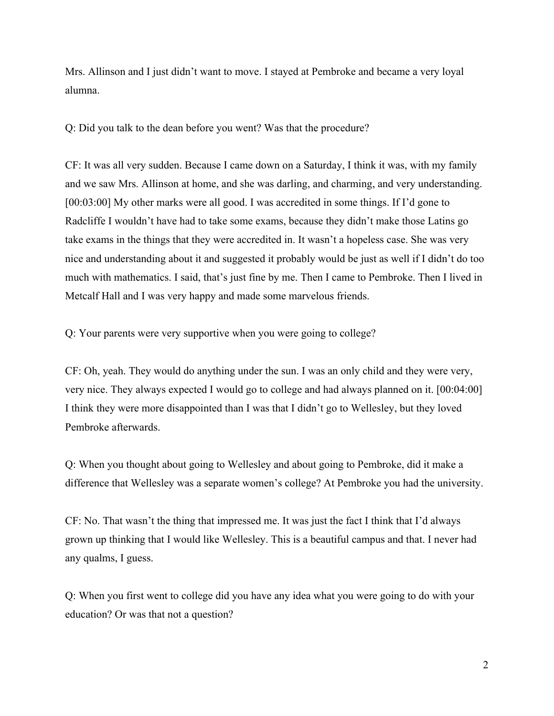Mrs. Allinson and I just didn't want to move. I stayed at Pembroke and became a very loyal alumna.

Q: Did you talk to the dean before you went? Was that the procedure?

CF: It was all very sudden. Because I came down on a Saturday, I think it was, with my family and we saw Mrs. Allinson at home, and she was darling, and charming, and very understanding. [00:03:00] My other marks were all good. I was accredited in some things. If I'd gone to Radcliffe I wouldn't have had to take some exams, because they didn't make those Latins go take exams in the things that they were accredited in. It wasn't a hopeless case. She was very nice and understanding about it and suggested it probably would be just as well if I didn't do too much with mathematics. I said, that's just fine by me. Then I came to Pembroke. Then I lived in Metcalf Hall and I was very happy and made some marvelous friends.

Q: Your parents were very supportive when you were going to college?

CF: Oh, yeah. They would do anything under the sun. I was an only child and they were very, very nice. They always expected I would go to college and had always planned on it. [00:04:00] I think they were more disappointed than I was that I didn't go to Wellesley, but they loved Pembroke afterwards.

Q: When you thought about going to Wellesley and about going to Pembroke, did it make a difference that Wellesley was a separate women's college? At Pembroke you had the university.

CF: No. That wasn't the thing that impressed me. It was just the fact I think that I'd always grown up thinking that I would like Wellesley. This is a beautiful campus and that. I never had any qualms, I guess.

Q: When you first went to college did you have any idea what you were going to do with your education? Or was that not a question?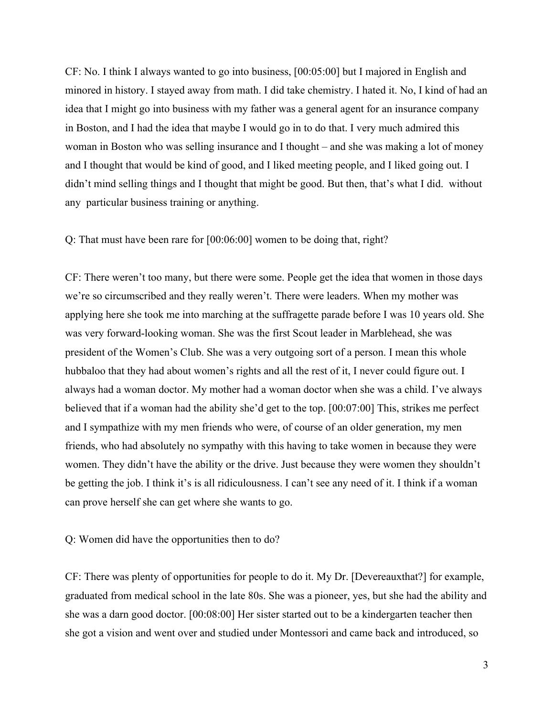CF: No. I think I always wanted to go into business, [00:05:00] but I majored in English and minored in history. I stayed away from math. I did take chemistry. I hated it. No, I kind of had an idea that I might go into business with my father was a general agent for an insurance company in Boston, and I had the idea that maybe I would go in to do that. I very much admired this woman in Boston who was selling insurance and I thought – and she was making a lot of money and I thought that would be kind of good, and I liked meeting people, and I liked going out. I didn't mind selling things and I thought that might be good. But then, that's what I did. without any particular business training or anything.

Q: That must have been rare for [00:06:00] women to be doing that, right?

CF: There weren't too many, but there were some. People get the idea that women in those days we're so circumscribed and they really weren't. There were leaders. When my mother was applying here she took me into marching at the suffragette parade before I was 10 years old. She was very forward-looking woman. She was the first Scout leader in Marblehead, she was president of the Women's Club. She was a very outgoing sort of a person. I mean this whole hubbaloo that they had about women's rights and all the rest of it, I never could figure out. I always had a woman doctor. My mother had a woman doctor when she was a child. I've always believed that if a woman had the ability she'd get to the top. [00:07:00] This, strikes me perfect and I sympathize with my men friends who were, of course of an older generation, my men friends, who had absolutely no sympathy with this having to take women in because they were women. They didn't have the ability or the drive. Just because they were women they shouldn't be getting the job. I think it's is all ridiculousness. I can't see any need of it. I think if a woman can prove herself she can get where she wants to go.

Q: Women did have the opportunities then to do?

CF: There was plenty of opportunities for people to do it. My Dr. [Devereauxthat?] for example, graduated from medical school in the late 80s. She was a pioneer, yes, but she had the ability and she was a darn good doctor. [00:08:00] Her sister started out to be a kindergarten teacher then she got a vision and went over and studied under Montessori and came back and introduced, so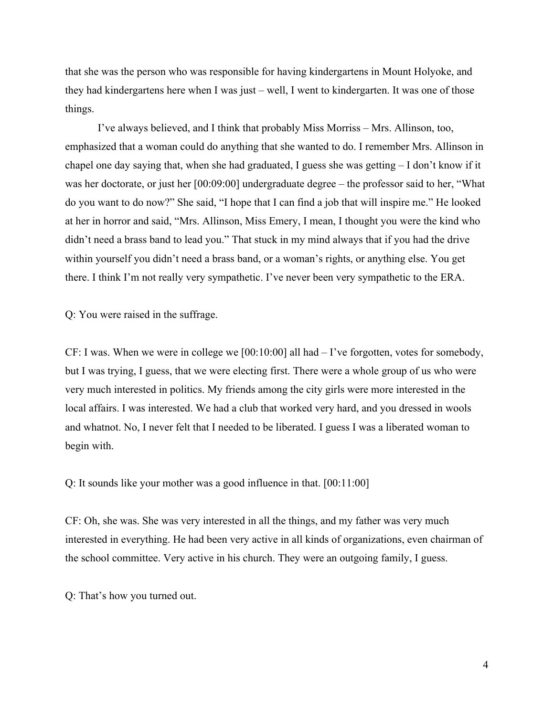that she was the person who was responsible for having kindergartens in Mount Holyoke, and they had kindergartens here when I was just – well, I went to kindergarten. It was one of those things.

I've always believed, and I think that probably Miss Morriss – Mrs. Allinson, too, emphasized that a woman could do anything that she wanted to do. I remember Mrs. Allinson in chapel one day saying that, when she had graduated, I guess she was getting – I don't know if it was her doctorate, or just her [00:09:00] undergraduate degree – the professor said to her, "What do you want to do now?" She said, "I hope that I can find a job that will inspire me." He looked at her in horror and said, "Mrs. Allinson, Miss Emery, I mean, I thought you were the kind who didn't need a brass band to lead you." That stuck in my mind always that if you had the drive within yourself you didn't need a brass band, or a woman's rights, or anything else. You get there. I think I'm not really very sympathetic. I've never been very sympathetic to the ERA.

Q: You were raised in the suffrage.

CF: I was. When we were in college we [00:10:00] all had – I've forgotten, votes for somebody, but I was trying, I guess, that we were electing first. There were a whole group of us who were very much interested in politics. My friends among the city girls were more interested in the local affairs. I was interested. We had a club that worked very hard, and you dressed in wools and whatnot. No, I never felt that I needed to be liberated. I guess I was a liberated woman to begin with.

Q: It sounds like your mother was a good influence in that. [00:11:00]

CF: Oh, she was. She was very interested in all the things, and my father was very much interested in everything. He had been very active in all kinds of organizations, even chairman of the school committee. Very active in his church. They were an outgoing family, I guess.

Q: That's how you turned out.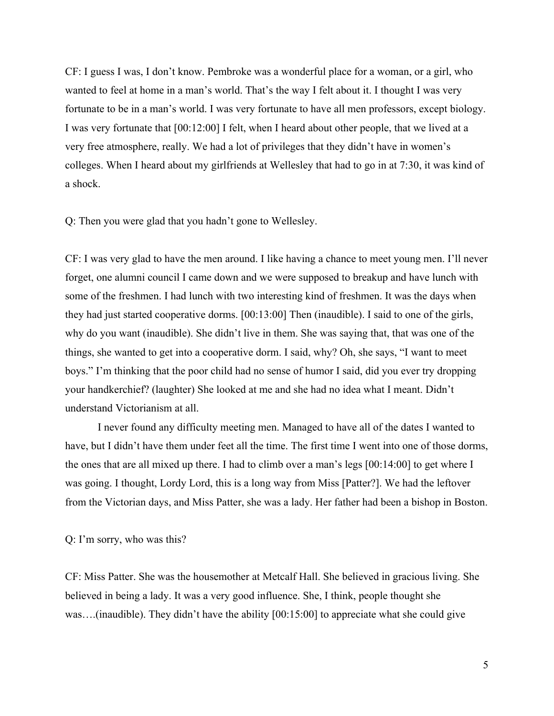CF: I guess I was, I don't know. Pembroke was a wonderful place for a woman, or a girl, who wanted to feel at home in a man's world. That's the way I felt about it. I thought I was very fortunate to be in a man's world. I was very fortunate to have all men professors, except biology. I was very fortunate that [00:12:00] I felt, when I heard about other people, that we lived at a very free atmosphere, really. We had a lot of privileges that they didn't have in women's colleges. When I heard about my girlfriends at Wellesley that had to go in at 7:30, it was kind of a shock.

Q: Then you were glad that you hadn't gone to Wellesley.

CF: I was very glad to have the men around. I like having a chance to meet young men. I'll never forget, one alumni council I came down and we were supposed to breakup and have lunch with some of the freshmen. I had lunch with two interesting kind of freshmen. It was the days when they had just started cooperative dorms. [00:13:00] Then (inaudible). I said to one of the girls, why do you want (inaudible). She didn't live in them. She was saying that, that was one of the things, she wanted to get into a cooperative dorm. I said, why? Oh, she says, "I want to meet boys." I'm thinking that the poor child had no sense of humor I said, did you ever try dropping your handkerchief? (laughter) She looked at me and she had no idea what I meant. Didn't understand Victorianism at all.

I never found any difficulty meeting men. Managed to have all of the dates I wanted to have, but I didn't have them under feet all the time. The first time I went into one of those dorms, the ones that are all mixed up there. I had to climb over a man's legs [00:14:00] to get where I was going. I thought, Lordy Lord, this is a long way from Miss [Patter?]. We had the leftover from the Victorian days, and Miss Patter, she was a lady. Her father had been a bishop in Boston.

Q: I'm sorry, who was this?

CF: Miss Patter. She was the housemother at Metcalf Hall. She believed in gracious living. She believed in being a lady. It was a very good influence. She, I think, people thought she was….(inaudible). They didn't have the ability [00:15:00] to appreciate what she could give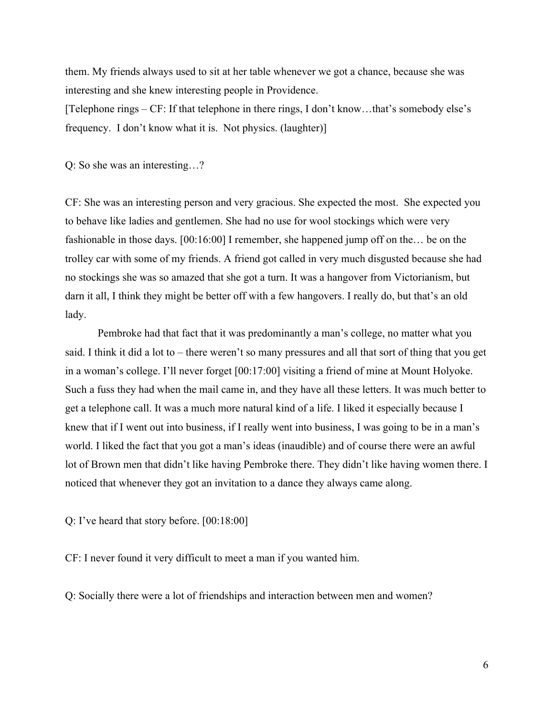them. My friends always used to sit at her table whenever we got a chance, because she was interesting and she knew interesting people in Providence.

[Telephone rings – CF: If that telephone in there rings, I don't know…that's somebody else's frequency. I don't know what it is. Not physics. (laughter)]

Q: So she was an interesting…?

CF: She was an interesting person and very gracious. She expected the most. She expected you to behave like ladies and gentlemen. She had no use for wool stockings which were very fashionable in those days. [00:16:00] I remember, she happened jump off on the… be on the trolley car with some of my friends. A friend got called in very much disgusted because she had no stockings she was so amazed that she got a turn. It was a hangover from Victorianism, but darn it all, I think they might be better off with a few hangovers. I really do, but that's an old lady.

Pembroke had that fact that it was predominantly a man's college, no matter what you said. I think it did a lot to – there weren't so many pressures and all that sort of thing that you get in a woman's college. I'll never forget [00:17:00] visiting a friend of mine at Mount Holyoke. Such a fuss they had when the mail came in, and they have all these letters. It was much better to get a telephone call. It was a much more natural kind of a life. I liked it especially because I knew that if I went out into business, if I really went into business, I was going to be in a man's world. I liked the fact that you got a man's ideas (inaudible) and of course there were an awful lot of Brown men that didn't like having Pembroke there. They didn't like having women there. I noticed that whenever they got an invitation to a dance they always came along.

Q: I've heard that story before. [00:18:00]

CF: I never found it very difficult to meet a man if you wanted him.

Q: Socially there were a lot of friendships and interaction between men and women?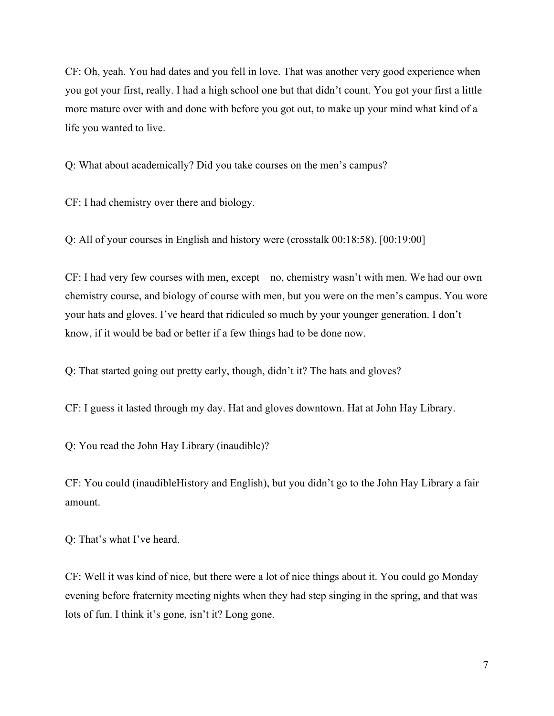CF: Oh, yeah. You had dates and you fell in love. That was another very good experience when you got your first, really. I had a high school one but that didn't count. You got your first a little more mature over with and done with before you got out, to make up your mind what kind of a life you wanted to live.

Q: What about academically? Did you take courses on the men's campus?

CF: I had chemistry over there and biology.

Q: All of your courses in English and history were (crosstalk 00:18:58). [00:19:00]

CF: I had very few courses with men, except – no, chemistry wasn't with men. We had our own chemistry course, and biology of course with men, but you were on the men's campus. You wore your hats and gloves. I've heard that ridiculed so much by your younger generation. I don't know, if it would be bad or better if a few things had to be done now.

Q: That started going out pretty early, though, didn't it? The hats and gloves?

CF: I guess it lasted through my day. Hat and gloves downtown. Hat at John Hay Library.

Q: You read the John Hay Library (inaudible)?

CF: You could (inaudibleHistory and English), but you didn't go to the John Hay Library a fair amount.

Q: That's what I've heard.

CF: Well it was kind of nice, but there were a lot of nice things about it. You could go Monday evening before fraternity meeting nights when they had step singing in the spring, and that was lots of fun. I think it's gone, isn't it? Long gone.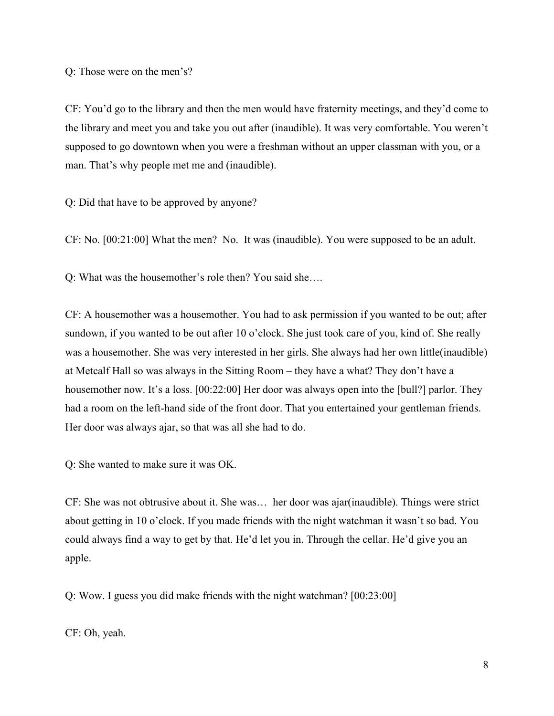Q: Those were on the men's?

CF: You'd go to the library and then the men would have fraternity meetings, and they'd come to the library and meet you and take you out after (inaudible). It was very comfortable. You weren't supposed to go downtown when you were a freshman without an upper classman with you, or a man. That's why people met me and (inaudible).

Q: Did that have to be approved by anyone?

CF: No. [00:21:00] What the men? No. It was (inaudible). You were supposed to be an adult.

Q: What was the housemother's role then? You said she….

CF: A housemother was a housemother. You had to ask permission if you wanted to be out; after sundown, if you wanted to be out after 10 o'clock. She just took care of you, kind of. She really was a housemother. She was very interested in her girls. She always had her own little(inaudible) at Metcalf Hall so was always in the Sitting Room – they have a what? They don't have a housemother now. It's a loss. [00:22:00] Her door was always open into the [bull?] parlor. They had a room on the left-hand side of the front door. That you entertained your gentleman friends. Her door was always ajar, so that was all she had to do.

Q: She wanted to make sure it was OK.

CF: She was not obtrusive about it. She was… her door was ajar(inaudible). Things were strict about getting in 10 o'clock. If you made friends with the night watchman it wasn't so bad. You could always find a way to get by that. He'd let you in. Through the cellar. He'd give you an apple.

Q: Wow. I guess you did make friends with the night watchman? [00:23:00]

CF: Oh, yeah.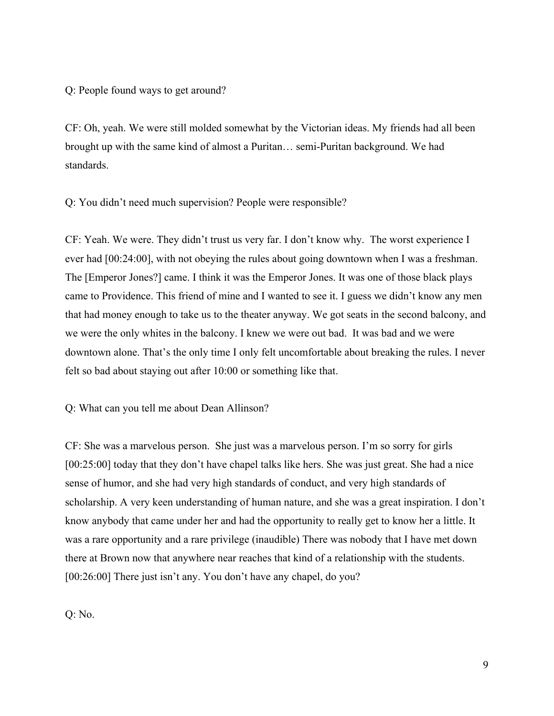Q: People found ways to get around?

CF: Oh, yeah. We were still molded somewhat by the Victorian ideas. My friends had all been brought up with the same kind of almost a Puritan… semi-Puritan background. We had standards.

Q: You didn't need much supervision? People were responsible?

CF: Yeah. We were. They didn't trust us very far. I don't know why. The worst experience I ever had [00:24:00], with not obeying the rules about going downtown when I was a freshman. The [Emperor Jones?] came. I think it was the Emperor Jones. It was one of those black plays came to Providence. This friend of mine and I wanted to see it. I guess we didn't know any men that had money enough to take us to the theater anyway. We got seats in the second balcony, and we were the only whites in the balcony. I knew we were out bad. It was bad and we were downtown alone. That's the only time I only felt uncomfortable about breaking the rules. I never felt so bad about staying out after 10:00 or something like that.

Q: What can you tell me about Dean Allinson?

CF: She was a marvelous person. She just was a marvelous person. I'm so sorry for girls [00:25:00] today that they don't have chapel talks like hers. She was just great. She had a nice sense of humor, and she had very high standards of conduct, and very high standards of scholarship. A very keen understanding of human nature, and she was a great inspiration. I don't know anybody that came under her and had the opportunity to really get to know her a little. It was a rare opportunity and a rare privilege (inaudible) There was nobody that I have met down there at Brown now that anywhere near reaches that kind of a relationship with the students. [00:26:00] There just isn't any. You don't have any chapel, do you?

Q: No.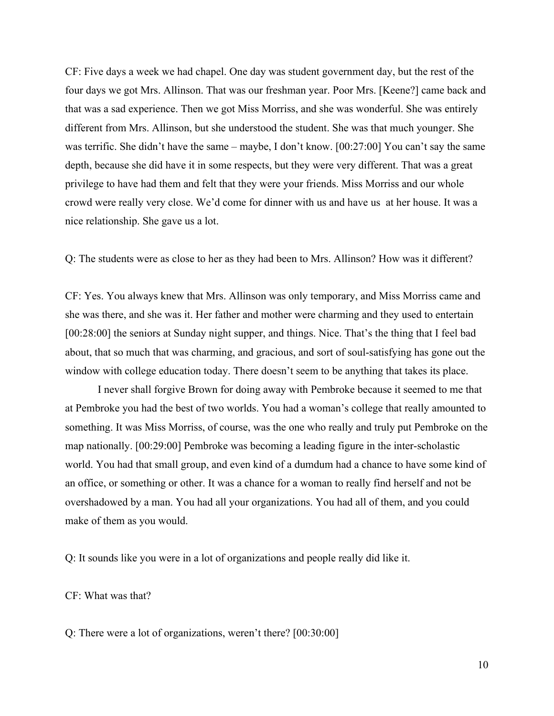CF: Five days a week we had chapel. One day was student government day, but the rest of the four days we got Mrs. Allinson. That was our freshman year. Poor Mrs. [Keene?] came back and that was a sad experience. Then we got Miss Morriss, and she was wonderful. She was entirely different from Mrs. Allinson, but she understood the student. She was that much younger. She was terrific. She didn't have the same – maybe, I don't know. [00:27:00] You can't say the same depth, because she did have it in some respects, but they were very different. That was a great privilege to have had them and felt that they were your friends. Miss Morriss and our whole crowd were really very close. We'd come for dinner with us and have us at her house. It was a nice relationship. She gave us a lot.

Q: The students were as close to her as they had been to Mrs. Allinson? How was it different?

CF: Yes. You always knew that Mrs. Allinson was only temporary, and Miss Morriss came and she was there, and she was it. Her father and mother were charming and they used to entertain [00:28:00] the seniors at Sunday night supper, and things. Nice. That's the thing that I feel bad about, that so much that was charming, and gracious, and sort of soul-satisfying has gone out the window with college education today. There doesn't seem to be anything that takes its place.

I never shall forgive Brown for doing away with Pembroke because it seemed to me that at Pembroke you had the best of two worlds. You had a woman's college that really amounted to something. It was Miss Morriss, of course, was the one who really and truly put Pembroke on the map nationally. [00:29:00] Pembroke was becoming a leading figure in the inter-scholastic world. You had that small group, and even kind of a dumdum had a chance to have some kind of an office, or something or other. It was a chance for a woman to really find herself and not be overshadowed by a man. You had all your organizations. You had all of them, and you could make of them as you would.

Q: It sounds like you were in a lot of organizations and people really did like it.

CF: What was that?

Q: There were a lot of organizations, weren't there? [00:30:00]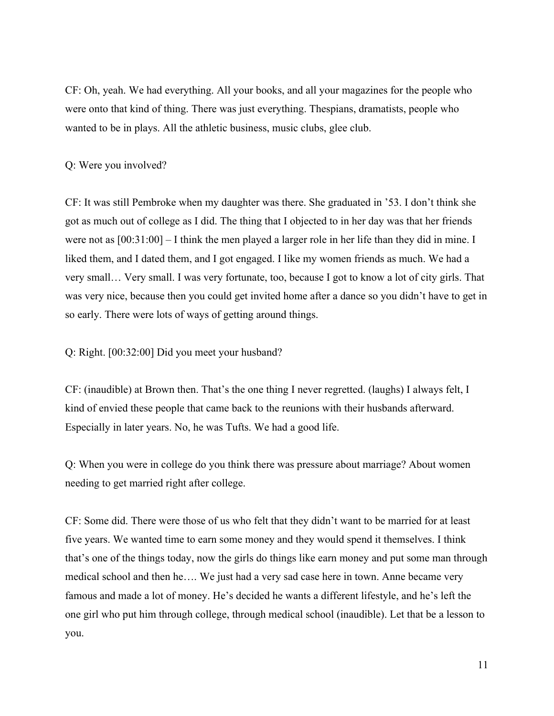CF: Oh, yeah. We had everything. All your books, and all your magazines for the people who were onto that kind of thing. There was just everything. Thespians, dramatists, people who wanted to be in plays. All the athletic business, music clubs, glee club.

# Q: Were you involved?

CF: It was still Pembroke when my daughter was there. She graduated in '53. I don't think she got as much out of college as I did. The thing that I objected to in her day was that her friends were not as [00:31:00] – I think the men played a larger role in her life than they did in mine. I liked them, and I dated them, and I got engaged. I like my women friends as much. We had a very small… Very small. I was very fortunate, too, because I got to know a lot of city girls. That was very nice, because then you could get invited home after a dance so you didn't have to get in so early. There were lots of ways of getting around things.

## Q: Right. [00:32:00] Did you meet your husband?

CF: (inaudible) at Brown then. That's the one thing I never regretted. (laughs) I always felt, I kind of envied these people that came back to the reunions with their husbands afterward. Especially in later years. No, he was Tufts. We had a good life.

Q: When you were in college do you think there was pressure about marriage? About women needing to get married right after college.

CF: Some did. There were those of us who felt that they didn't want to be married for at least five years. We wanted time to earn some money and they would spend it themselves. I think that's one of the things today, now the girls do things like earn money and put some man through medical school and then he…. We just had a very sad case here in town. Anne became very famous and made a lot of money. He's decided he wants a different lifestyle, and he's left the one girl who put him through college, through medical school (inaudible). Let that be a lesson to you.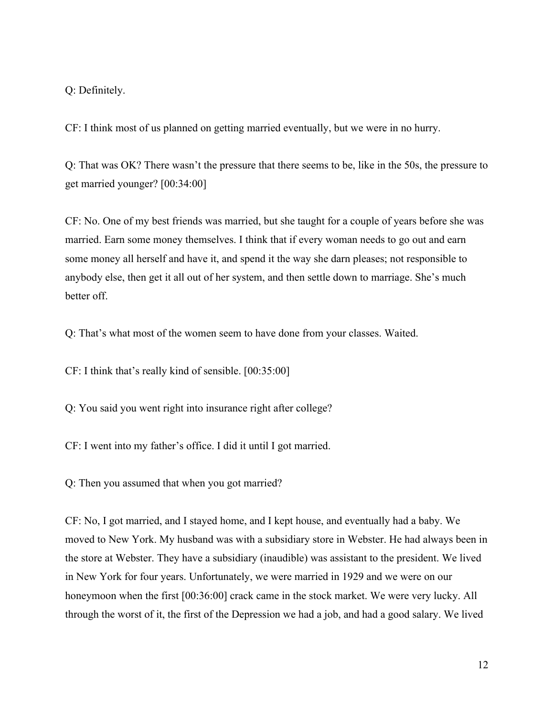Q: Definitely.

CF: I think most of us planned on getting married eventually, but we were in no hurry.

Q: That was OK? There wasn't the pressure that there seems to be, like in the 50s, the pressure to get married younger? [00:34:00]

CF: No. One of my best friends was married, but she taught for a couple of years before she was married. Earn some money themselves. I think that if every woman needs to go out and earn some money all herself and have it, and spend it the way she darn pleases; not responsible to anybody else, then get it all out of her system, and then settle down to marriage. She's much better off.

Q: That's what most of the women seem to have done from your classes. Waited.

CF: I think that's really kind of sensible. [00:35:00]

Q: You said you went right into insurance right after college?

CF: I went into my father's office. I did it until I got married.

Q: Then you assumed that when you got married?

CF: No, I got married, and I stayed home, and I kept house, and eventually had a baby. We moved to New York. My husband was with a subsidiary store in Webster. He had always been in the store at Webster. They have a subsidiary (inaudible) was assistant to the president. We lived in New York for four years. Unfortunately, we were married in 1929 and we were on our honeymoon when the first [00:36:00] crack came in the stock market. We were very lucky. All through the worst of it, the first of the Depression we had a job, and had a good salary. We lived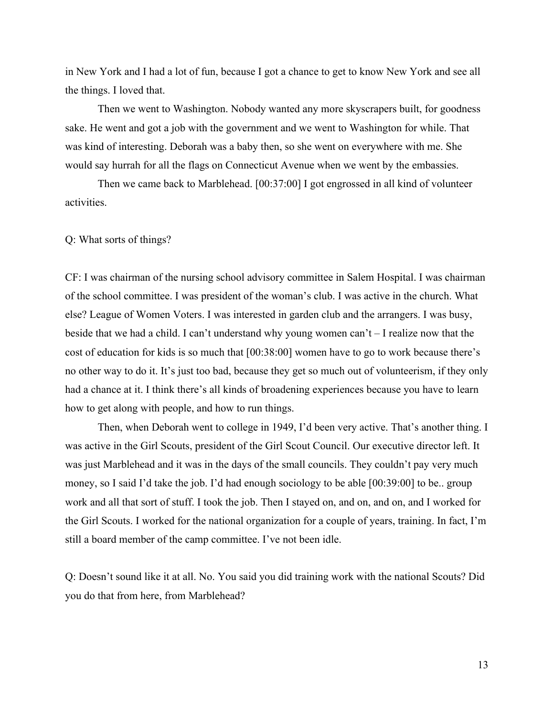in New York and I had a lot of fun, because I got a chance to get to know New York and see all the things. I loved that.

Then we went to Washington. Nobody wanted any more skyscrapers built, for goodness sake. He went and got a job with the government and we went to Washington for while. That was kind of interesting. Deborah was a baby then, so she went on everywhere with me. She would say hurrah for all the flags on Connecticut Avenue when we went by the embassies.

Then we came back to Marblehead. [00:37:00] I got engrossed in all kind of volunteer activities.

#### Q: What sorts of things?

CF: I was chairman of the nursing school advisory committee in Salem Hospital. I was chairman of the school committee. I was president of the woman's club. I was active in the church. What else? League of Women Voters. I was interested in garden club and the arrangers. I was busy, beside that we had a child. I can't understand why young women can't – I realize now that the cost of education for kids is so much that [00:38:00] women have to go to work because there's no other way to do it. It's just too bad, because they get so much out of volunteerism, if they only had a chance at it. I think there's all kinds of broadening experiences because you have to learn how to get along with people, and how to run things.

Then, when Deborah went to college in 1949, I'd been very active. That's another thing. I was active in the Girl Scouts, president of the Girl Scout Council. Our executive director left. It was just Marblehead and it was in the days of the small councils. They couldn't pay very much money, so I said I'd take the job. I'd had enough sociology to be able [00:39:00] to be.. group work and all that sort of stuff. I took the job. Then I stayed on, and on, and on, and I worked for the Girl Scouts. I worked for the national organization for a couple of years, training. In fact, I'm still a board member of the camp committee. I've not been idle.

Q: Doesn't sound like it at all. No. You said you did training work with the national Scouts? Did you do that from here, from Marblehead?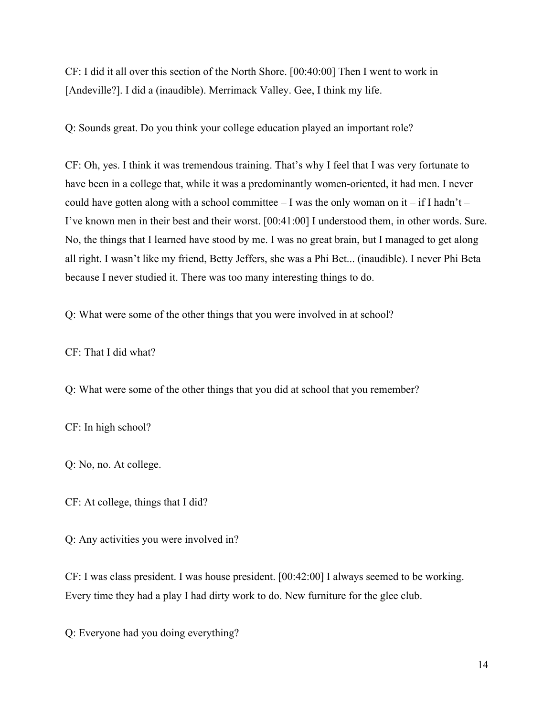CF: I did it all over this section of the North Shore. [00:40:00] Then I went to work in [Andeville?]. I did a (inaudible). Merrimack Valley. Gee, I think my life.

Q: Sounds great. Do you think your college education played an important role?

CF: Oh, yes. I think it was tremendous training. That's why I feel that I was very fortunate to have been in a college that, while it was a predominantly women-oriented, it had men. I never could have gotten along with a school committee – I was the only woman on it – if I hadn't – I've known men in their best and their worst. [00:41:00] I understood them, in other words. Sure. No, the things that I learned have stood by me. I was no great brain, but I managed to get along all right. I wasn't like my friend, Betty Jeffers, she was a Phi Bet... (inaudible). I never Phi Beta because I never studied it. There was too many interesting things to do.

Q: What were some of the other things that you were involved in at school?

CF: That I did what?

Q: What were some of the other things that you did at school that you remember?

CF: In high school?

Q: No, no. At college.

CF: At college, things that I did?

Q: Any activities you were involved in?

CF: I was class president. I was house president. [00:42:00] I always seemed to be working. Every time they had a play I had dirty work to do. New furniture for the glee club.

Q: Everyone had you doing everything?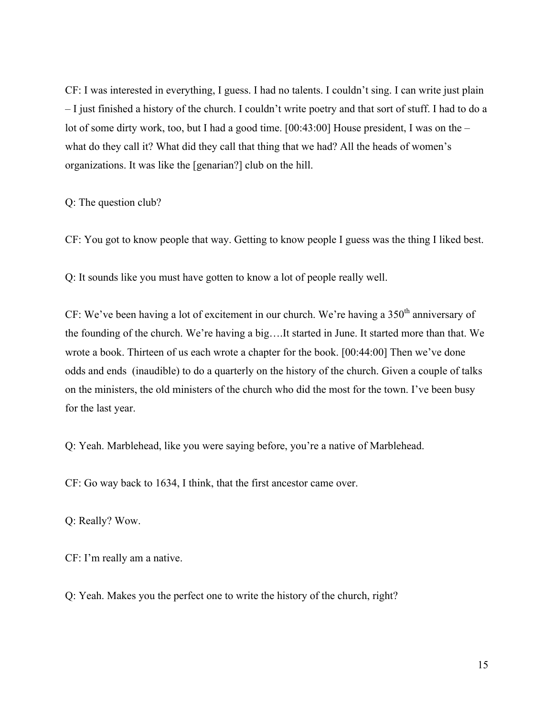CF: I was interested in everything, I guess. I had no talents. I couldn't sing. I can write just plain – I just finished a history of the church. I couldn't write poetry and that sort of stuff. I had to do a lot of some dirty work, too, but I had a good time. [00:43:00] House president, I was on the – what do they call it? What did they call that thing that we had? All the heads of women's organizations. It was like the [genarian?] club on the hill.

Q: The question club?

CF: You got to know people that way. Getting to know people I guess was the thing I liked best.

Q: It sounds like you must have gotten to know a lot of people really well.

CF: We've been having a lot of excitement in our church. We're having a  $350<sup>th</sup>$  anniversary of the founding of the church. We're having a big….It started in June. It started more than that. We wrote a book. Thirteen of us each wrote a chapter for the book. [00:44:00] Then we've done odds and ends (inaudible) to do a quarterly on the history of the church. Given a couple of talks on the ministers, the old ministers of the church who did the most for the town. I've been busy for the last year.

Q: Yeah. Marblehead, like you were saying before, you're a native of Marblehead.

CF: Go way back to 1634, I think, that the first ancestor came over.

Q: Really? Wow.

CF: I'm really am a native.

Q: Yeah. Makes you the perfect one to write the history of the church, right?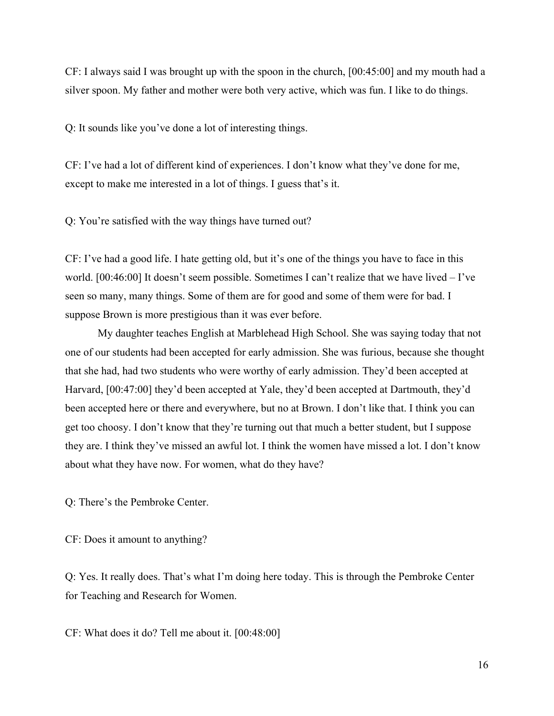CF: I always said I was brought up with the spoon in the church, [00:45:00] and my mouth had a silver spoon. My father and mother were both very active, which was fun. I like to do things.

Q: It sounds like you've done a lot of interesting things.

CF: I've had a lot of different kind of experiences. I don't know what they've done for me, except to make me interested in a lot of things. I guess that's it.

Q: You're satisfied with the way things have turned out?

CF: I've had a good life. I hate getting old, but it's one of the things you have to face in this world. [00:46:00] It doesn't seem possible. Sometimes I can't realize that we have lived – I've seen so many, many things. Some of them are for good and some of them were for bad. I suppose Brown is more prestigious than it was ever before.

My daughter teaches English at Marblehead High School. She was saying today that not one of our students had been accepted for early admission. She was furious, because she thought that she had, had two students who were worthy of early admission. They'd been accepted at Harvard, [00:47:00] they'd been accepted at Yale, they'd been accepted at Dartmouth, they'd been accepted here or there and everywhere, but no at Brown. I don't like that. I think you can get too choosy. I don't know that they're turning out that much a better student, but I suppose they are. I think they've missed an awful lot. I think the women have missed a lot. I don't know about what they have now. For women, what do they have?

Q: There's the Pembroke Center.

CF: Does it amount to anything?

Q: Yes. It really does. That's what I'm doing here today. This is through the Pembroke Center for Teaching and Research for Women.

CF: What does it do? Tell me about it. [00:48:00]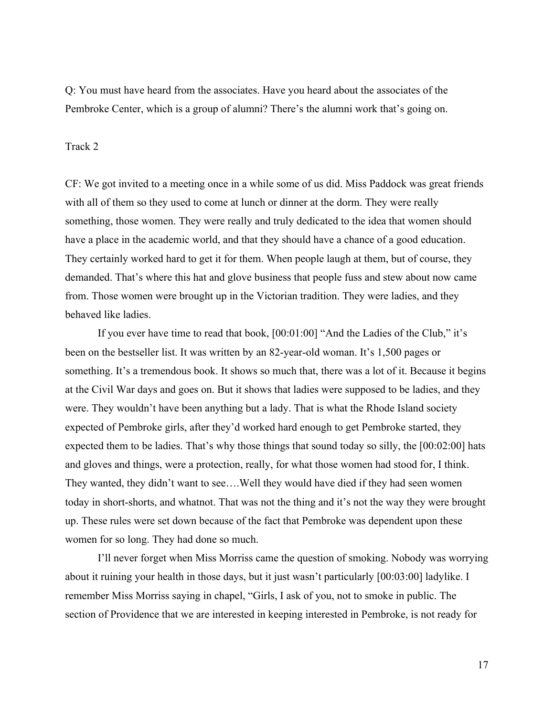Q: You must have heard from the associates. Have you heard about the associates of the Pembroke Center, which is a group of alumni? There's the alumni work that's going on.

## Track 2

CF: We got invited to a meeting once in a while some of us did. Miss Paddock was great friends with all of them so they used to come at lunch or dinner at the dorm. They were really something, those women. They were really and truly dedicated to the idea that women should have a place in the academic world, and that they should have a chance of a good education. They certainly worked hard to get it for them. When people laugh at them, but of course, they demanded. That's where this hat and glove business that people fuss and stew about now came from. Those women were brought up in the Victorian tradition. They were ladies, and they behaved like ladies.

If you ever have time to read that book, [00:01:00] "And the Ladies of the Club," it's been on the bestseller list. It was written by an 82-year-old woman. It's 1,500 pages or something. It's a tremendous book. It shows so much that, there was a lot of it. Because it begins at the Civil War days and goes on. But it shows that ladies were supposed to be ladies, and they were. They wouldn't have been anything but a lady. That is what the Rhode Island society expected of Pembroke girls, after they'd worked hard enough to get Pembroke started, they expected them to be ladies. That's why those things that sound today so silly, the [00:02:00] hats and gloves and things, were a protection, really, for what those women had stood for, I think. They wanted, they didn't want to see….Well they would have died if they had seen women today in short-shorts, and whatnot. That was not the thing and it's not the way they were brought up. These rules were set down because of the fact that Pembroke was dependent upon these women for so long. They had done so much.

I'll never forget when Miss Morriss came the question of smoking. Nobody was worrying about it ruining your health in those days, but it just wasn't particularly [00:03:00] ladylike. I remember Miss Morriss saying in chapel, "Girls, I ask of you, not to smoke in public. The section of Providence that we are interested in keeping interested in Pembroke, is not ready for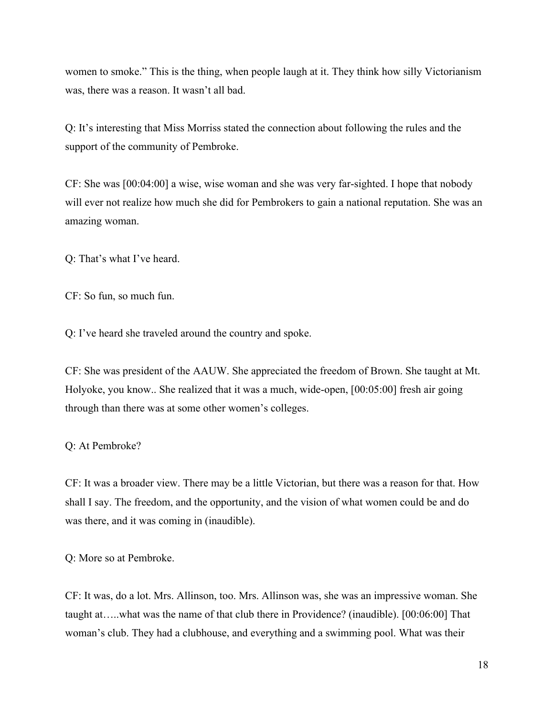women to smoke." This is the thing, when people laugh at it. They think how silly Victorianism was, there was a reason. It wasn't all bad.

Q: It's interesting that Miss Morriss stated the connection about following the rules and the support of the community of Pembroke.

CF: She was [00:04:00] a wise, wise woman and she was very far-sighted. I hope that nobody will ever not realize how much she did for Pembrokers to gain a national reputation. She was an amazing woman.

Q: That's what I've heard.

CF: So fun, so much fun.

Q: I've heard she traveled around the country and spoke.

CF: She was president of the AAUW. She appreciated the freedom of Brown. She taught at Mt. Holyoke, you know.. She realized that it was a much, wide-open, [00:05:00] fresh air going through than there was at some other women's colleges.

Q: At Pembroke?

CF: It was a broader view. There may be a little Victorian, but there was a reason for that. How shall I say. The freedom, and the opportunity, and the vision of what women could be and do was there, and it was coming in (inaudible).

Q: More so at Pembroke.

CF: It was, do a lot. Mrs. Allinson, too. Mrs. Allinson was, she was an impressive woman. She taught at…..what was the name of that club there in Providence? (inaudible). [00:06:00] That woman's club. They had a clubhouse, and everything and a swimming pool. What was their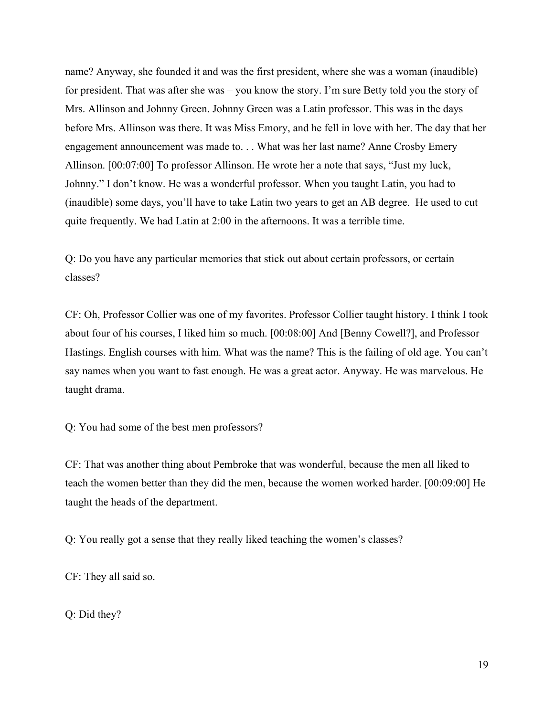name? Anyway, she founded it and was the first president, where she was a woman (inaudible) for president. That was after she was – you know the story. I'm sure Betty told you the story of Mrs. Allinson and Johnny Green. Johnny Green was a Latin professor. This was in the days before Mrs. Allinson was there. It was Miss Emory, and he fell in love with her. The day that her engagement announcement was made to. . . What was her last name? Anne Crosby Emery Allinson. [00:07:00] To professor Allinson. He wrote her a note that says, "Just my luck, Johnny." I don't know. He was a wonderful professor. When you taught Latin, you had to (inaudible) some days, you'll have to take Latin two years to get an AB degree. He used to cut quite frequently. We had Latin at 2:00 in the afternoons. It was a terrible time.

Q: Do you have any particular memories that stick out about certain professors, or certain classes?

CF: Oh, Professor Collier was one of my favorites. Professor Collier taught history. I think I took about four of his courses, I liked him so much. [00:08:00] And [Benny Cowell?], and Professor Hastings. English courses with him. What was the name? This is the failing of old age. You can't say names when you want to fast enough. He was a great actor. Anyway. He was marvelous. He taught drama.

Q: You had some of the best men professors?

CF: That was another thing about Pembroke that was wonderful, because the men all liked to teach the women better than they did the men, because the women worked harder. [00:09:00] He taught the heads of the department.

Q: You really got a sense that they really liked teaching the women's classes?

CF: They all said so.

Q: Did they?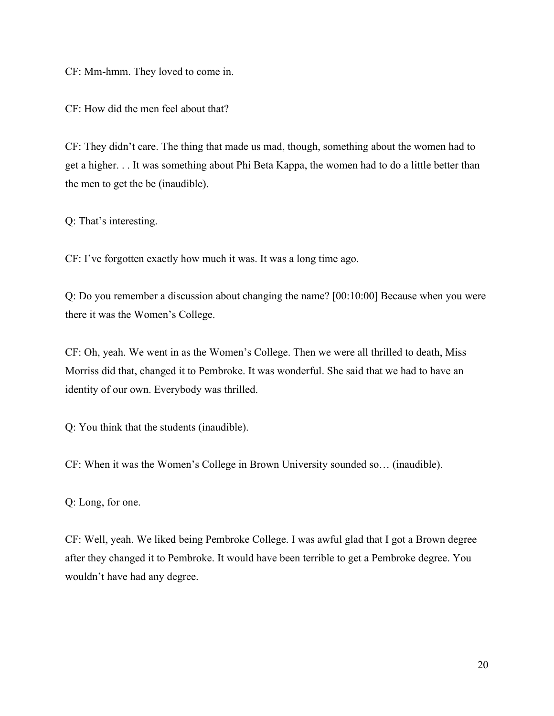CF: Mm-hmm. They loved to come in.

CF: How did the men feel about that?

CF: They didn't care. The thing that made us mad, though, something about the women had to get a higher. . . It was something about Phi Beta Kappa, the women had to do a little better than the men to get the be (inaudible).

Q: That's interesting.

CF: I've forgotten exactly how much it was. It was a long time ago.

Q: Do you remember a discussion about changing the name? [00:10:00] Because when you were there it was the Women's College.

CF: Oh, yeah. We went in as the Women's College. Then we were all thrilled to death, Miss Morriss did that, changed it to Pembroke. It was wonderful. She said that we had to have an identity of our own. Everybody was thrilled.

Q: You think that the students (inaudible).

CF: When it was the Women's College in Brown University sounded so… (inaudible).

Q: Long, for one.

CF: Well, yeah. We liked being Pembroke College. I was awful glad that I got a Brown degree after they changed it to Pembroke. It would have been terrible to get a Pembroke degree. You wouldn't have had any degree.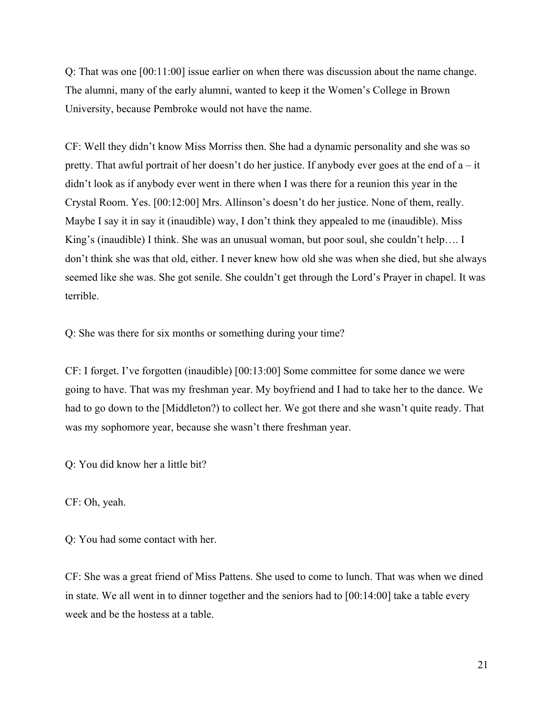Q: That was one [00:11:00] issue earlier on when there was discussion about the name change. The alumni, many of the early alumni, wanted to keep it the Women's College in Brown University, because Pembroke would not have the name.

CF: Well they didn't know Miss Morriss then. She had a dynamic personality and she was so pretty. That awful portrait of her doesn't do her justice. If anybody ever goes at the end of a – it didn't look as if anybody ever went in there when I was there for a reunion this year in the Crystal Room. Yes. [00:12:00] Mrs. Allinson's doesn't do her justice. None of them, really. Maybe I say it in say it (inaudible) way, I don't think they appealed to me (inaudible). Miss King's (inaudible) I think. She was an unusual woman, but poor soul, she couldn't help…. I don't think she was that old, either. I never knew how old she was when she died, but she always seemed like she was. She got senile. She couldn't get through the Lord's Prayer in chapel. It was terrible.

Q: She was there for six months or something during your time?

CF: I forget. I've forgotten (inaudible) [00:13:00] Some committee for some dance we were going to have. That was my freshman year. My boyfriend and I had to take her to the dance. We had to go down to the [Middleton?) to collect her. We got there and she wasn't quite ready. That was my sophomore year, because she wasn't there freshman year.

Q: You did know her a little bit?

CF: Oh, yeah.

Q: You had some contact with her.

CF: She was a great friend of Miss Pattens. She used to come to lunch. That was when we dined in state. We all went in to dinner together and the seniors had to [00:14:00] take a table every week and be the hostess at a table.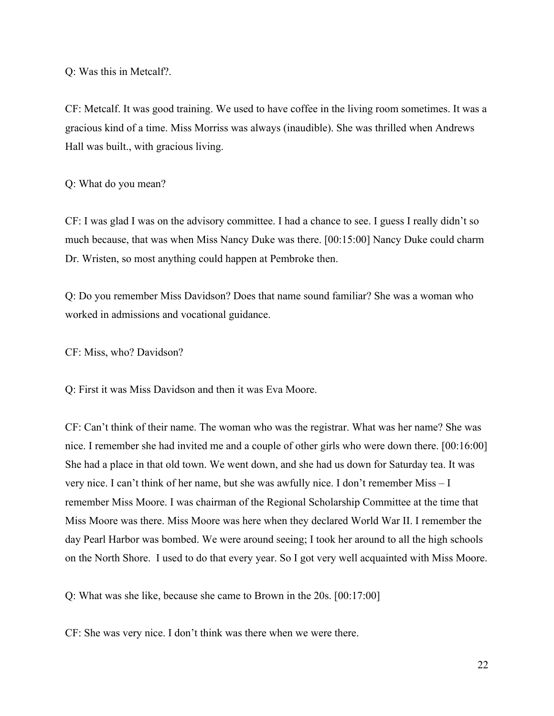Q: Was this in Metcalf?.

CF: Metcalf. It was good training. We used to have coffee in the living room sometimes. It was a gracious kind of a time. Miss Morriss was always (inaudible). She was thrilled when Andrews Hall was built., with gracious living.

## Q: What do you mean?

CF: I was glad I was on the advisory committee. I had a chance to see. I guess I really didn't so much because, that was when Miss Nancy Duke was there. [00:15:00] Nancy Duke could charm Dr. Wristen, so most anything could happen at Pembroke then.

Q: Do you remember Miss Davidson? Does that name sound familiar? She was a woman who worked in admissions and vocational guidance.

CF: Miss, who? Davidson?

Q: First it was Miss Davidson and then it was Eva Moore.

CF: Can't think of their name. The woman who was the registrar. What was her name? She was nice. I remember she had invited me and a couple of other girls who were down there. [00:16:00] She had a place in that old town. We went down, and she had us down for Saturday tea. It was very nice. I can't think of her name, but she was awfully nice. I don't remember Miss – I remember Miss Moore. I was chairman of the Regional Scholarship Committee at the time that Miss Moore was there. Miss Moore was here when they declared World War II. I remember the day Pearl Harbor was bombed. We were around seeing; I took her around to all the high schools on the North Shore. I used to do that every year. So I got very well acquainted with Miss Moore.

Q: What was she like, because she came to Brown in the 20s. [00:17:00]

CF: She was very nice. I don't think was there when we were there.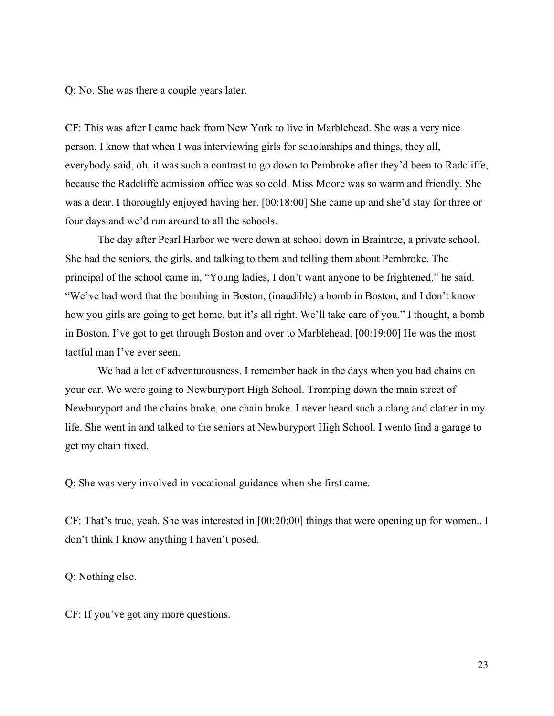Q: No. She was there a couple years later.

CF: This was after I came back from New York to live in Marblehead. She was a very nice person. I know that when I was interviewing girls for scholarships and things, they all, everybody said, oh, it was such a contrast to go down to Pembroke after they'd been to Radcliffe, because the Radcliffe admission office was so cold. Miss Moore was so warm and friendly. She was a dear. I thoroughly enjoyed having her. [00:18:00] She came up and she'd stay for three or four days and we'd run around to all the schools.

The day after Pearl Harbor we were down at school down in Braintree, a private school. She had the seniors, the girls, and talking to them and telling them about Pembroke. The principal of the school came in, "Young ladies, I don't want anyone to be frightened," he said. "We've had word that the bombing in Boston, (inaudible) a bomb in Boston, and I don't know how you girls are going to get home, but it's all right. We'll take care of you." I thought, a bomb in Boston. I've got to get through Boston and over to Marblehead. [00:19:00] He was the most tactful man I've ever seen.

We had a lot of adventurousness. I remember back in the days when you had chains on your car. We were going to Newburyport High School. Tromping down the main street of Newburyport and the chains broke, one chain broke. I never heard such a clang and clatter in my life. She went in and talked to the seniors at Newburyport High School. I wento find a garage to get my chain fixed.

Q: She was very involved in vocational guidance when she first came.

CF: That's true, yeah. She was interested in [00:20:00] things that were opening up for women.. I don't think I know anything I haven't posed.

Q: Nothing else.

CF: If you've got any more questions.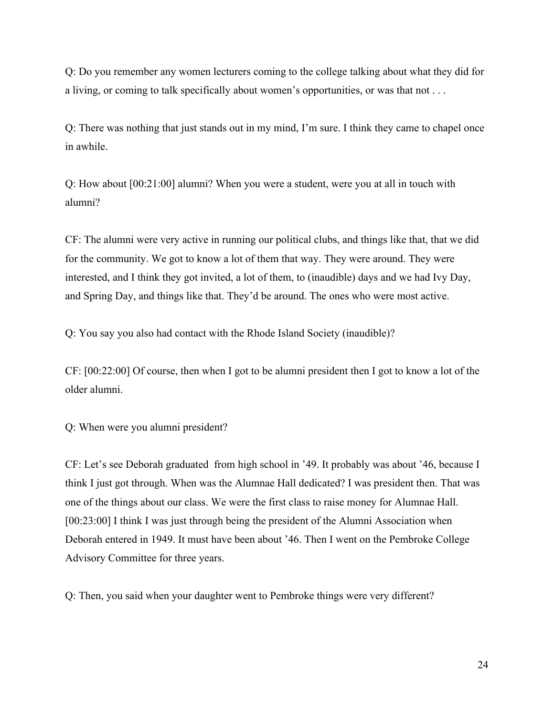Q: Do you remember any women lecturers coming to the college talking about what they did for a living, or coming to talk specifically about women's opportunities, or was that not . . .

Q: There was nothing that just stands out in my mind, I'm sure. I think they came to chapel once in awhile.

Q: How about [00:21:00] alumni? When you were a student, were you at all in touch with alumni?

CF: The alumni were very active in running our political clubs, and things like that, that we did for the community. We got to know a lot of them that way. They were around. They were interested, and I think they got invited, a lot of them, to (inaudible) days and we had Ivy Day, and Spring Day, and things like that. They'd be around. The ones who were most active.

Q: You say you also had contact with the Rhode Island Society (inaudible)?

CF: [00:22:00] Of course, then when I got to be alumni president then I got to know a lot of the older alumni.

Q: When were you alumni president?

CF: Let's see Deborah graduated from high school in '49. It probably was about '46, because I think I just got through. When was the Alumnae Hall dedicated? I was president then. That was one of the things about our class. We were the first class to raise money for Alumnae Hall. [00:23:00] I think I was just through being the president of the Alumni Association when Deborah entered in 1949. It must have been about '46. Then I went on the Pembroke College Advisory Committee for three years.

Q: Then, you said when your daughter went to Pembroke things were very different?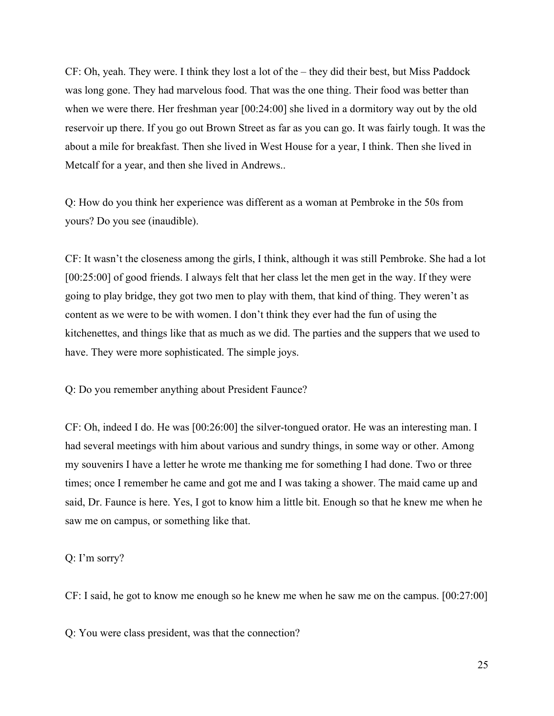CF: Oh, yeah. They were. I think they lost a lot of the – they did their best, but Miss Paddock was long gone. They had marvelous food. That was the one thing. Their food was better than when we were there. Her freshman year [00:24:00] she lived in a dormitory way out by the old reservoir up there. If you go out Brown Street as far as you can go. It was fairly tough. It was the about a mile for breakfast. Then she lived in West House for a year, I think. Then she lived in Metcalf for a year, and then she lived in Andrews..

Q: How do you think her experience was different as a woman at Pembroke in the 50s from yours? Do you see (inaudible).

CF: It wasn't the closeness among the girls, I think, although it was still Pembroke. She had a lot [00:25:00] of good friends. I always felt that her class let the men get in the way. If they were going to play bridge, they got two men to play with them, that kind of thing. They weren't as content as we were to be with women. I don't think they ever had the fun of using the kitchenettes, and things like that as much as we did. The parties and the suppers that we used to have. They were more sophisticated. The simple joys.

Q: Do you remember anything about President Faunce?

CF: Oh, indeed I do. He was [00:26:00] the silver-tongued orator. He was an interesting man. I had several meetings with him about various and sundry things, in some way or other. Among my souvenirs I have a letter he wrote me thanking me for something I had done. Two or three times; once I remember he came and got me and I was taking a shower. The maid came up and said, Dr. Faunce is here. Yes, I got to know him a little bit. Enough so that he knew me when he saw me on campus, or something like that.

Q: I'm sorry?

CF: I said, he got to know me enough so he knew me when he saw me on the campus. [00:27:00]

Q: You were class president, was that the connection?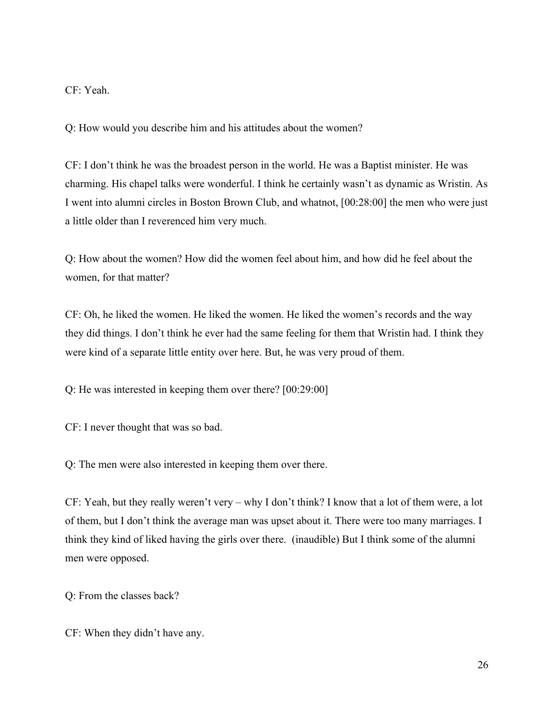CF: Yeah.

Q: How would you describe him and his attitudes about the women?

CF: I don't think he was the broadest person in the world. He was a Baptist minister. He was charming. His chapel talks were wonderful. I think he certainly wasn't as dynamic as Wristin. As I went into alumni circles in Boston Brown Club, and whatnot, [00:28:00] the men who were just a little older than I reverenced him very much.

Q: How about the women? How did the women feel about him, and how did he feel about the women, for that matter?

CF: Oh, he liked the women. He liked the women. He liked the women's records and the way they did things. I don't think he ever had the same feeling for them that Wristin had. I think they were kind of a separate little entity over here. But, he was very proud of them.

Q: He was interested in keeping them over there? [00:29:00]

CF: I never thought that was so bad.

Q: The men were also interested in keeping them over there.

CF: Yeah, but they really weren't very – why I don't think? I know that a lot of them were, a lot of them, but I don't think the average man was upset about it. There were too many marriages. I think they kind of liked having the girls over there. (inaudible) But I think some of the alumni men were opposed.

Q: From the classes back?

CF: When they didn't have any.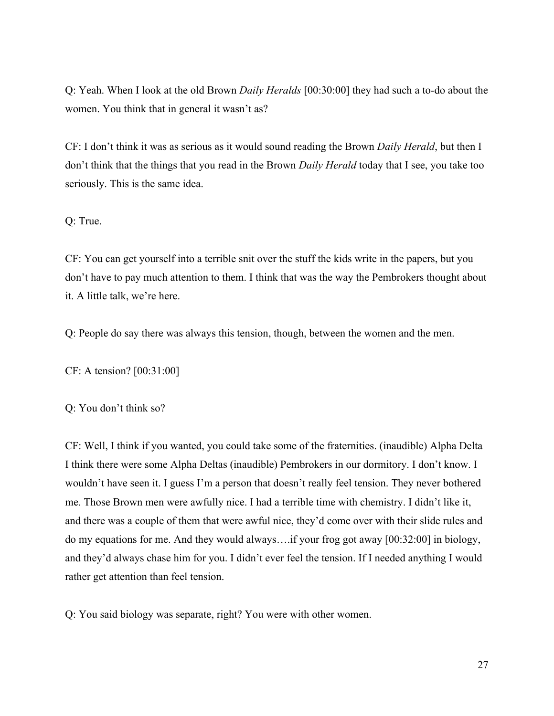Q: Yeah. When I look at the old Brown *Daily Heralds* [00:30:00] they had such a to-do about the women. You think that in general it wasn't as?

CF: I don't think it was as serious as it would sound reading the Brown *Daily Herald*, but then I don't think that the things that you read in the Brown *Daily Herald* today that I see, you take too seriously. This is the same idea.

### Q: True.

CF: You can get yourself into a terrible snit over the stuff the kids write in the papers, but you don't have to pay much attention to them. I think that was the way the Pembrokers thought about it. A little talk, we're here.

Q: People do say there was always this tension, though, between the women and the men.

CF: A tension? [00:31:00]

Q: You don't think so?

CF: Well, I think if you wanted, you could take some of the fraternities. (inaudible) Alpha Delta I think there were some Alpha Deltas (inaudible) Pembrokers in our dormitory. I don't know. I wouldn't have seen it. I guess I'm a person that doesn't really feel tension. They never bothered me. Those Brown men were awfully nice. I had a terrible time with chemistry. I didn't like it, and there was a couple of them that were awful nice, they'd come over with their slide rules and do my equations for me. And they would always….if your frog got away [00:32:00] in biology, and they'd always chase him for you. I didn't ever feel the tension. If I needed anything I would rather get attention than feel tension.

Q: You said biology was separate, right? You were with other women.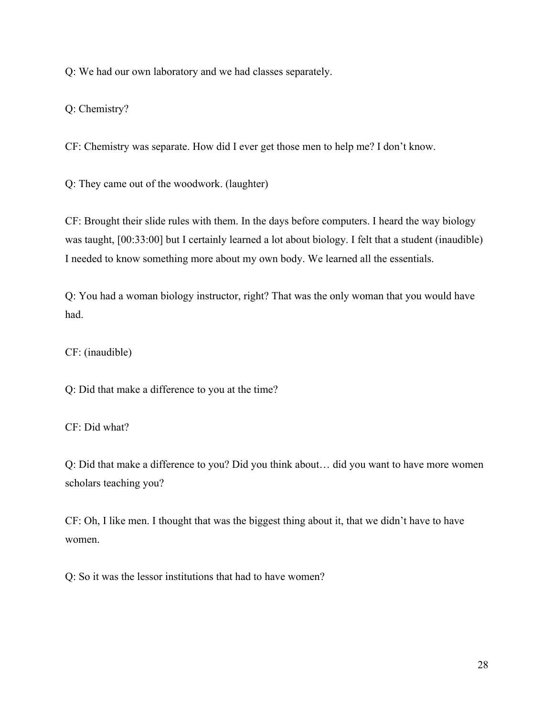Q: We had our own laboratory and we had classes separately.

Q: Chemistry?

CF: Chemistry was separate. How did I ever get those men to help me? I don't know.

Q: They came out of the woodwork. (laughter)

CF: Brought their slide rules with them. In the days before computers. I heard the way biology was taught, [00:33:00] but I certainly learned a lot about biology. I felt that a student (inaudible) I needed to know something more about my own body. We learned all the essentials.

Q: You had a woman biology instructor, right? That was the only woman that you would have had.

CF: (inaudible)

Q: Did that make a difference to you at the time?

CF: Did what?

Q: Did that make a difference to you? Did you think about… did you want to have more women scholars teaching you?

CF: Oh, I like men. I thought that was the biggest thing about it, that we didn't have to have women.

Q: So it was the lessor institutions that had to have women?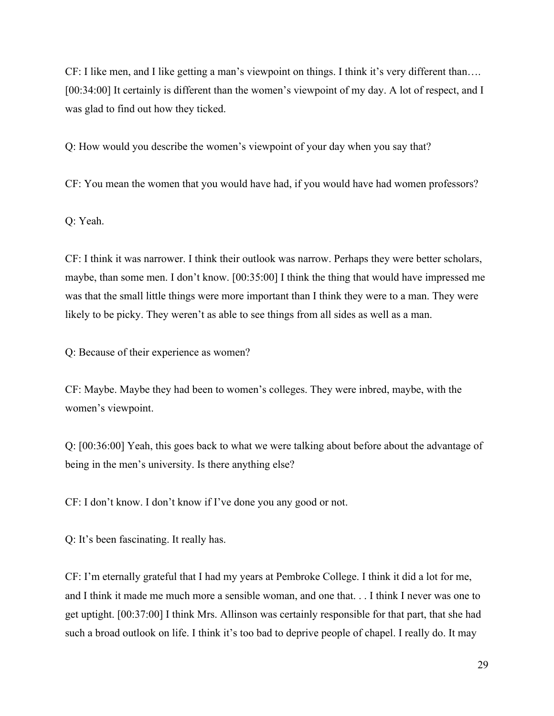CF: I like men, and I like getting a man's viewpoint on things. I think it's very different than…. [00:34:00] It certainly is different than the women's viewpoint of my day. A lot of respect, and I was glad to find out how they ticked.

Q: How would you describe the women's viewpoint of your day when you say that?

CF: You mean the women that you would have had, if you would have had women professors?

Q: Yeah.

CF: I think it was narrower. I think their outlook was narrow. Perhaps they were better scholars, maybe, than some men. I don't know. [00:35:00] I think the thing that would have impressed me was that the small little things were more important than I think they were to a man. They were likely to be picky. They weren't as able to see things from all sides as well as a man.

Q: Because of their experience as women?

CF: Maybe. Maybe they had been to women's colleges. They were inbred, maybe, with the women's viewpoint.

Q: [00:36:00] Yeah, this goes back to what we were talking about before about the advantage of being in the men's university. Is there anything else?

CF: I don't know. I don't know if I've done you any good or not.

Q: It's been fascinating. It really has.

CF: I'm eternally grateful that I had my years at Pembroke College. I think it did a lot for me, and I think it made me much more a sensible woman, and one that. . . I think I never was one to get uptight. [00:37:00] I think Mrs. Allinson was certainly responsible for that part, that she had such a broad outlook on life. I think it's too bad to deprive people of chapel. I really do. It may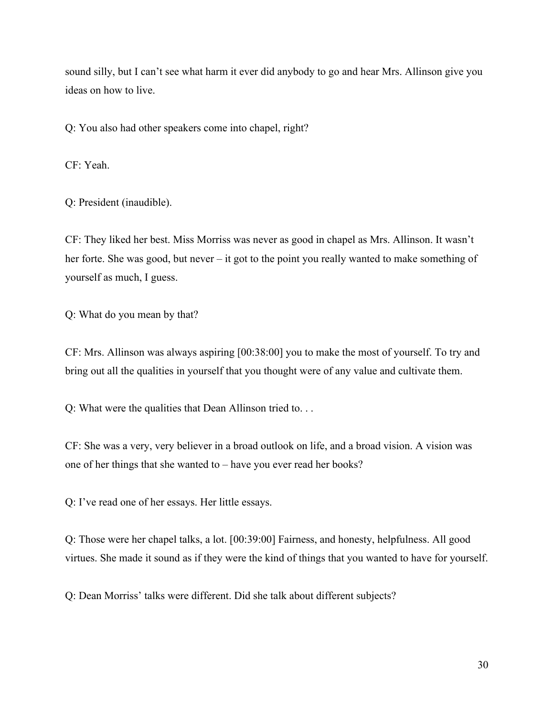sound silly, but I can't see what harm it ever did anybody to go and hear Mrs. Allinson give you ideas on how to live.

Q: You also had other speakers come into chapel, right?

CF: Yeah.

Q: President (inaudible).

CF: They liked her best. Miss Morriss was never as good in chapel as Mrs. Allinson. It wasn't her forte. She was good, but never – it got to the point you really wanted to make something of yourself as much, I guess.

Q: What do you mean by that?

CF: Mrs. Allinson was always aspiring [00:38:00] you to make the most of yourself. To try and bring out all the qualities in yourself that you thought were of any value and cultivate them.

Q: What were the qualities that Dean Allinson tried to. . .

CF: She was a very, very believer in a broad outlook on life, and a broad vision. A vision was one of her things that she wanted to – have you ever read her books?

Q: I've read one of her essays. Her little essays.

Q: Those were her chapel talks, a lot. [00:39:00] Fairness, and honesty, helpfulness. All good virtues. She made it sound as if they were the kind of things that you wanted to have for yourself.

Q: Dean Morriss' talks were different. Did she talk about different subjects?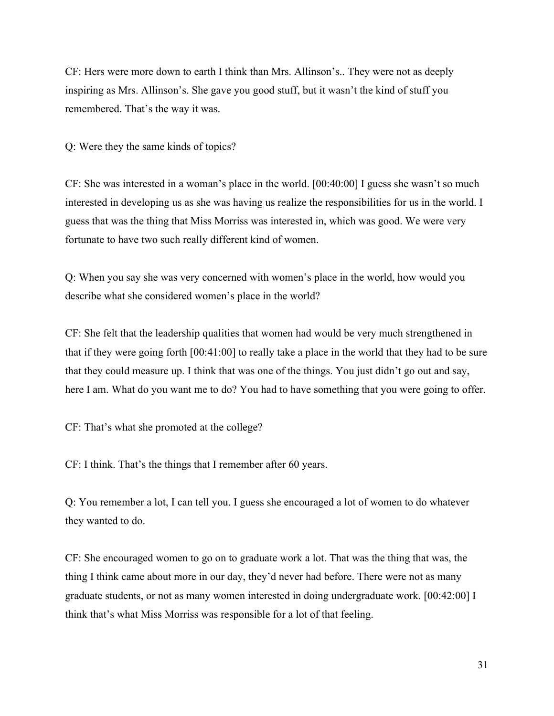CF: Hers were more down to earth I think than Mrs. Allinson's.. They were not as deeply inspiring as Mrs. Allinson's. She gave you good stuff, but it wasn't the kind of stuff you remembered. That's the way it was.

Q: Were they the same kinds of topics?

CF: She was interested in a woman's place in the world. [00:40:00] I guess she wasn't so much interested in developing us as she was having us realize the responsibilities for us in the world. I guess that was the thing that Miss Morriss was interested in, which was good. We were very fortunate to have two such really different kind of women.

Q: When you say she was very concerned with women's place in the world, how would you describe what she considered women's place in the world?

CF: She felt that the leadership qualities that women had would be very much strengthened in that if they were going forth [00:41:00] to really take a place in the world that they had to be sure that they could measure up. I think that was one of the things. You just didn't go out and say, here I am. What do you want me to do? You had to have something that you were going to offer.

CF: That's what she promoted at the college?

CF: I think. That's the things that I remember after 60 years.

Q: You remember a lot, I can tell you. I guess she encouraged a lot of women to do whatever they wanted to do.

CF: She encouraged women to go on to graduate work a lot. That was the thing that was, the thing I think came about more in our day, they'd never had before. There were not as many graduate students, or not as many women interested in doing undergraduate work. [00:42:00] I think that's what Miss Morriss was responsible for a lot of that feeling.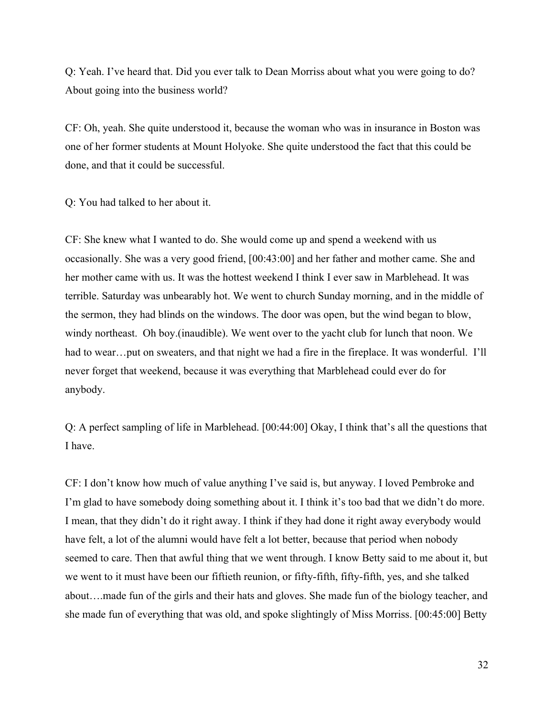Q: Yeah. I've heard that. Did you ever talk to Dean Morriss about what you were going to do? About going into the business world?

CF: Oh, yeah. She quite understood it, because the woman who was in insurance in Boston was one of her former students at Mount Holyoke. She quite understood the fact that this could be done, and that it could be successful.

Q: You had talked to her about it.

CF: She knew what I wanted to do. She would come up and spend a weekend with us occasionally. She was a very good friend, [00:43:00] and her father and mother came. She and her mother came with us. It was the hottest weekend I think I ever saw in Marblehead. It was terrible. Saturday was unbearably hot. We went to church Sunday morning, and in the middle of the sermon, they had blinds on the windows. The door was open, but the wind began to blow, windy northeast. Oh boy.(inaudible). We went over to the yacht club for lunch that noon. We had to wear...put on sweaters, and that night we had a fire in the fireplace. It was wonderful. I'll never forget that weekend, because it was everything that Marblehead could ever do for anybody.

Q: A perfect sampling of life in Marblehead. [00:44:00] Okay, I think that's all the questions that I have.

CF: I don't know how much of value anything I've said is, but anyway. I loved Pembroke and I'm glad to have somebody doing something about it. I think it's too bad that we didn't do more. I mean, that they didn't do it right away. I think if they had done it right away everybody would have felt, a lot of the alumni would have felt a lot better, because that period when nobody seemed to care. Then that awful thing that we went through. I know Betty said to me about it, but we went to it must have been our fiftieth reunion, or fifty-fifth, fifty-fifth, yes, and she talked about….made fun of the girls and their hats and gloves. She made fun of the biology teacher, and she made fun of everything that was old, and spoke slightingly of Miss Morriss. [00:45:00] Betty